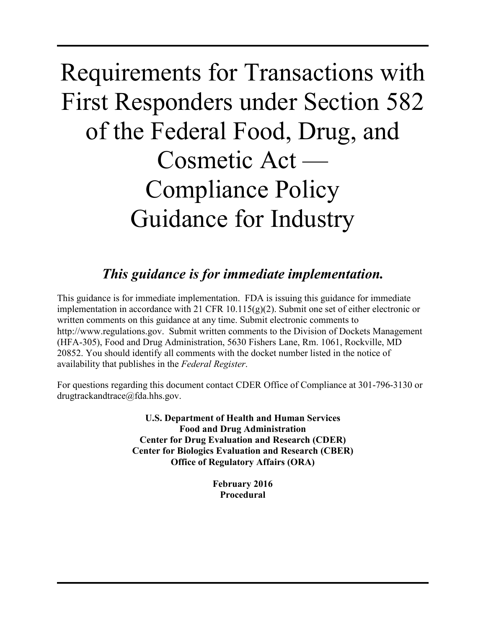# Requirements for Transactions with First Responders under Section 582 of the Federal Food, Drug, and Cosmetic Act — Compliance Policy Guidance for Industry

# *This guidance is for immediate implementation.*

This guidance is for immediate implementation. FDA is issuing this guidance for immediate implementation in accordance with 21 CFR 10.115(g)(2). Submit one set of either electronic or written comments on this guidance at any time. Submit electronic comments to http://www.regulations.gov. Submit written comments to the Division of Dockets Management (HFA-305), Food and Drug Administration, 5630 Fishers Lane, Rm. 1061, Rockville, MD 20852. You should identify all comments with the docket number listed in the notice of availability that publishes in the *Federal Register*.

For questions regarding this document contact CDER Office of Compliance at 301-796-3130 or drugtrackandtrace@fda.hhs.gov.

> **U.S. Department of Health and Human Services Food and Drug Administration Center for Drug Evaluation and Research (CDER) Center for Biologics Evaluation and Research (CBER) Office of Regulatory Affairs (ORA)**

> > **February 2016 Procedural**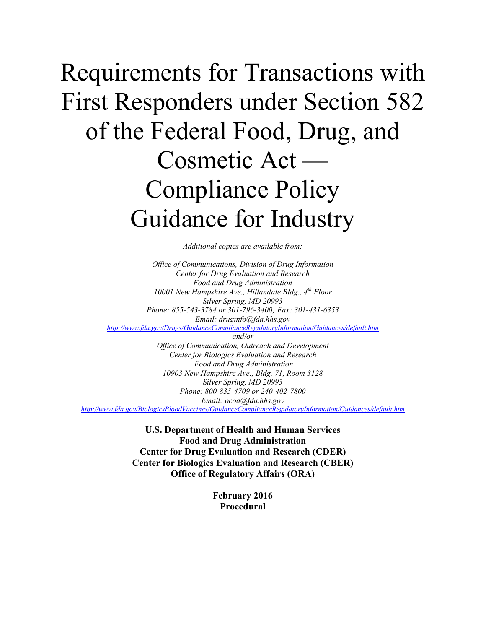# Requirements for Transactions with First Responders under Section 582 of the Federal Food, Drug, and Cosmetic Act — Compliance Policy Guidance for Industry

*Additional copies are available from:*

*Office of Communications, Division of Drug Information Center for Drug Evaluation and Research Food and Drug Administration 10001 New Hampshire Ave., Hillandale Bldg., 4th Floor Silver Spring, MD 20993 Phone: 855-543-3784 or 301-796-3400; Fax: 301-431-6353 Email: druginfo@fda.hhs.gov <http://www.fda.gov/Drugs/GuidanceComplianceRegulatoryInformation/Guidances/default.htm> and/or Office of Communication, Outreach and Development Center for Biologics Evaluation and Research Food and Drug Administration 10903 New Hampshire Ave., Bldg. 71, Room 3128 Silver Spring, MD 20993 Phone: 800-835-4709 or 240-402-7800 Email: ocod@fda.hhs.gov*

*<http://www.fda.gov/BiologicsBloodVaccines/GuidanceComplianceRegulatoryInformation/Guidances/default.htm>*

**U.S. Department of Health and Human Services Food and Drug Administration Center for Drug Evaluation and Research (CDER) Center for Biologics Evaluation and Research (CBER) Office of Regulatory Affairs (ORA)**

> **February 2016 Procedural**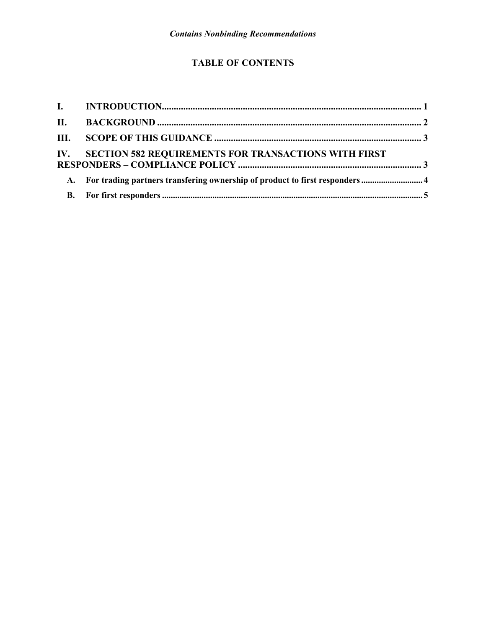## **TABLE OF CONTENTS**

| IV. SECTION 582 REQUIREMENTS FOR TRANSACTIONS WITH FIRST                      |  |
|-------------------------------------------------------------------------------|--|
| A. For trading partners transfering ownership of product to first responders4 |  |
|                                                                               |  |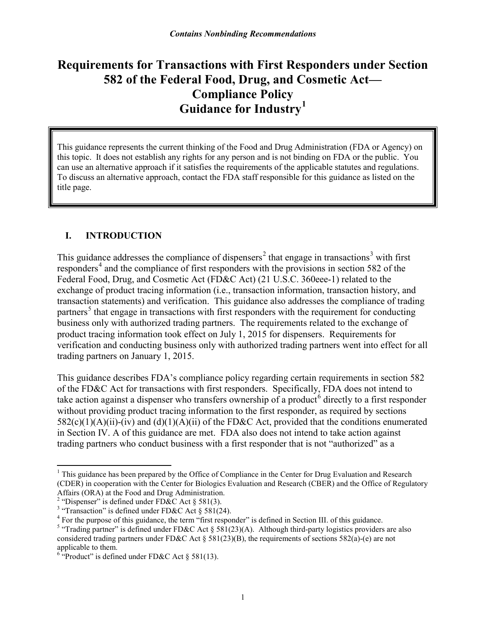# **Requirements for Transactions with First Responders under Section 582 of the Federal Food, Drug, and Cosmetic Act— Compliance Policy Guidance for Industry[1](#page-3-0)**

This guidance represents the current thinking of the Food and Drug Administration (FDA or Agency) on this topic. It does not establish any rights for any person and is not binding on FDA or the public. You can use an alternative approach if it satisfies the requirements of the applicable statutes and regulations. To discuss an alternative approach, contact the FDA staff responsible for this guidance as listed on the title page.

## **I. INTRODUCTION**

This guidance addresses the compliance of dispensers<sup>[2](#page-3-1)</sup> that engage in transactions<sup>[3](#page-3-2)</sup> with first  $responders<sup>4</sup>$  $responders<sup>4</sup>$  $responders<sup>4</sup>$  and the compliance of first responders with the provisions in section 582 of the Federal Food, Drug, and Cosmetic Act (FD&C Act) (21 U.S.C. 360eee-1) related to the exchange of product tracing information (i.e., transaction information, transaction history, and transaction statements) and verification. This guidance also addresses the compliance of trading partners<sup>[5](#page-3-4)</sup> that engage in transactions with first responders with the requirement for conducting business only with authorized trading partners. The requirements related to the exchange of product tracing information took effect on July 1, 2015 for dispensers. Requirements for verification and conducting business only with authorized trading partners went into effect for all trading partners on January 1, 2015.

This guidance describes FDA's compliance policy regarding certain requirements in section 582 of the FD&C Act for transactions with first responders. Specifically, FDA does not intend to take action against a dispenser who transfers ownership of a product<sup>[6](#page-3-5)</sup> directly to a first responder without providing product tracing information to the first responder, as required by sections  $582(c)(1)(A)(ii)-(iv)$  and  $(d)(1)(A)(ii)$  of the FD&C Act, provided that the conditions enumerated in Section IV. A of this guidance are met. FDA also does not intend to take action against trading partners who conduct business with a first responder that is not "authorized" as a

<span id="page-3-0"></span><sup>&</sup>lt;sup>1</sup> This guidance has been prepared by the Office of Compliance in the Center for Drug Evaluation and Research (CDER) in cooperation with the Center for Biologics Evaluation and Research (CBER) and the Office of Regulatory Affairs (ORA) at the Food and Drug Administration.

<span id="page-3-1"></span><sup>&</sup>lt;sup>2</sup> "Dispenser" is defined under FD&C Act § 581(3).

<span id="page-3-4"></span><span id="page-3-3"></span>

<span id="page-3-2"></span><sup>&</sup>lt;sup>3</sup> "Transaction" is defined under FD&C Act § 581(24).<br><sup>4</sup> For the purpose of this guidance, the term "first responder" is defined in Section III. of this guidance.<br><sup>5</sup> "Trading partner" is defined under FD&C Act § 581(23 considered trading partners under FD&C Act  $\S 581(23)(B)$ , the requirements of sections 582(a)-(e) are not applicable to them.<br><sup>6</sup> "Product" is defined under FD&C Act  $\S$  581(13).

<span id="page-3-5"></span>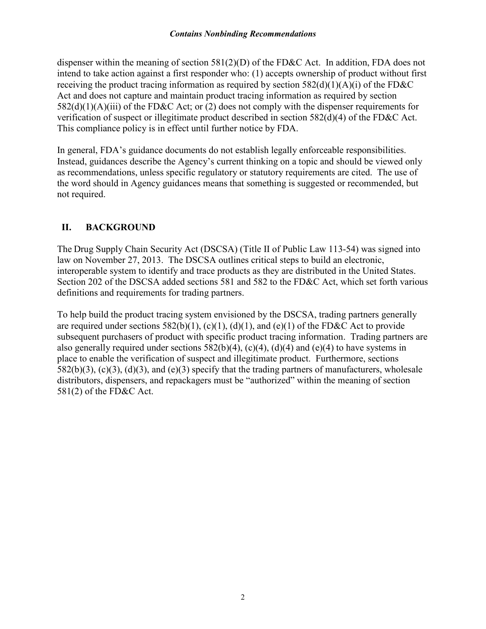dispenser within the meaning of section  $581(2)(D)$  of the FD&C Act. In addition, FDA does not intend to take action against a first responder who: (1) accepts ownership of product without first receiving the product tracing information as required by section  $582(d)(1)(A)(i)$  of the FD&C Act and does not capture and maintain product tracing information as required by section 582(d)(1)(A)(iii) of the FD&C Act; or (2) does not comply with the dispenser requirements for verification of suspect or illegitimate product described in section 582(d)(4) of the FD&C Act. This compliance policy is in effect until further notice by FDA.

In general, FDA's guidance documents do not establish legally enforceable responsibilities. Instead, guidances describe the Agency's current thinking on a topic and should be viewed only as recommendations, unless specific regulatory or statutory requirements are cited. The use of the word should in Agency guidances means that something is suggested or recommended, but not required.

### **II. BACKGROUND**

The Drug Supply Chain Security Act (DSCSA) (Title II of Public Law 113-54) was signed into law on November 27, 2013. The DSCSA outlines critical steps to build an electronic, interoperable system to identify and trace products as they are distributed in the United States. Section 202 of the DSCSA added sections 581 and 582 to the FD&C Act, which set forth various definitions and requirements for trading partners.

To help build the product tracing system envisioned by the DSCSA, trading partners generally are required under sections  $582(b)(1)$ , (c)(1), (d)(1), and (e)(1) of the FD&C Act to provide subsequent purchasers of product with specific product tracing information. Trading partners are also generally required under sections  $582(b)(4)$ , (c)(4), (d)(4) and (e)(4) to have systems in place to enable the verification of suspect and illegitimate product. Furthermore, sections  $582(b)(3)$ , (c)(3), (d)(3), and (e)(3) specify that the trading partners of manufacturers, wholesale distributors, dispensers, and repackagers must be "authorized" within the meaning of section 581(2) of the FD&C Act.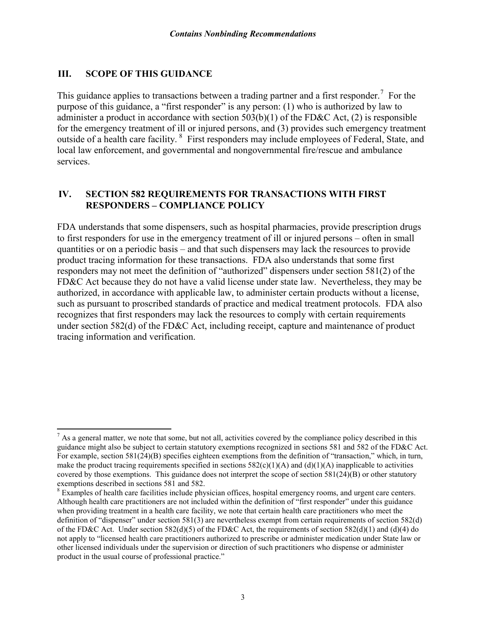#### **III. SCOPE OF THIS GUIDANCE**

This guidance applies to transactions between a trading partner and a first responder.<sup>[7](#page-5-0)</sup> For the purpose of this guidance, a "first responder" is any person: (1) who is authorized by law to administer a product in accordance with section 503(b)(1) of the FD&C Act, (2) is responsible for the emergency treatment of ill or injured persons, and (3) provides such emergency treatment outside of a health care facility. <sup>[8](#page-5-1)</sup> First responders may include employees of Federal, State, and local law enforcement, and governmental and nongovernmental fire/rescue and ambulance services.

#### **IV. SECTION 582 REQUIREMENTS FOR TRANSACTIONS WITH FIRST RESPONDERS – COMPLIANCE POLICY**

FDA understands that some dispensers, such as hospital pharmacies, provide prescription drugs to first responders for use in the emergency treatment of ill or injured persons – often in small quantities or on a periodic basis – and that such dispensers may lack the resources to provide product tracing information for these transactions. FDA also understands that some first responders may not meet the definition of "authorized" dispensers under section 581(2) of the FD&C Act because they do not have a valid license under state law. Nevertheless, they may be authorized, in accordance with applicable law, to administer certain products without a license, such as pursuant to proscribed standards of practice and medical treatment protocols. FDA also recognizes that first responders may lack the resources to comply with certain requirements under section 582(d) of the FD&C Act, including receipt, capture and maintenance of product tracing information and verification.

<span id="page-5-0"></span> $<sup>7</sup>$  As a general matter, we note that some, but not all, activities covered by the compliance policy described in this</sup> guidance might also be subject to certain statutory exemptions recognized in sections 581 and 582 of the FD&C Act. For example, section 581(24)(B) specifies eighteen exemptions from the definition of "transaction," which, in turn, make the product tracing requirements specified in sections  $582(c)(1)(A)$  and  $(d)(1)(A)$  inapplicable to activities covered by those exemptions. This guidance does not interpret the scope of section 581(24)(B) or other statutory exemptions described in sections 581 and 582.

<span id="page-5-1"></span><sup>&</sup>lt;sup>8</sup> Examples of health care facilities include physician offices, hospital emergency rooms, and urgent care centers. Although health care practitioners are not included within the definition of "first responder" under this guidance when providing treatment in a health care facility, we note that certain health care practitioners who meet the definition of "dispenser" under section 581(3) are nevertheless exempt from certain requirements of section 582(d) of the FD&C Act. Under section 582(d)(5) of the FD&C Act, the requirements of section 582(d)(1) and (d)(4) do not apply to "licensed health care practitioners authorized to prescribe or administer medication under State law or other licensed individuals under the supervision or direction of such practitioners who dispense or administer product in the usual course of professional practice."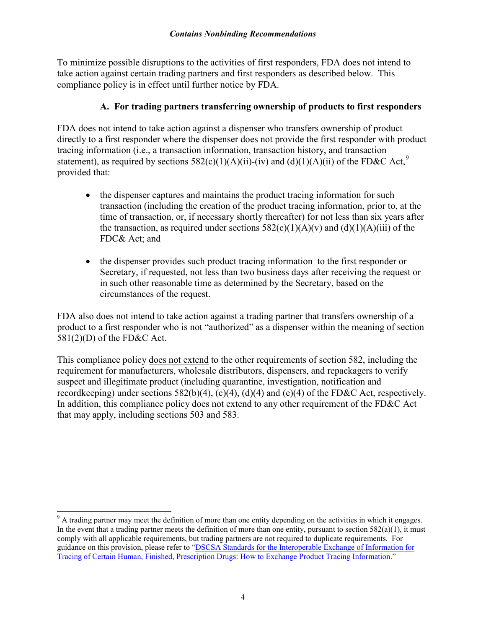To minimize possible disruptions to the activities of first responders, FDA does not intend to take action against certain trading partners and first responders as described below. This compliance policy is in effect until further notice by FDA.

#### **A. For trading partners transferring ownership of products to first responders**

FDA does not intend to take action against a dispenser who transfers ownership of product directly to a first responder where the dispenser does not provide the first responder with product tracing information (i.e., a transaction information, transaction history, and transaction statement), as required by sections  $582(c)(1)(A)(ii)$ -(iv) and  $(d)(1)(A)(ii)$  of the FD&C Act,<sup>[9](#page-6-0)</sup> provided that:

- the dispenser captures and maintains the product tracing information for such transaction (including the creation of the product tracing information, prior to, at the time of transaction, or, if necessary shortly thereafter) for not less than six years after the transaction, as required under sections  $582(c)(1)(A)(v)$  and  $(d)(1)(A)(iii)$  of the FDC& Act; and
- the dispenser provides such product tracing information to the first responder or Secretary, if requested, not less than two business days after receiving the request or in such other reasonable time as determined by the Secretary, based on the circumstances of the request.

FDA also does not intend to take action against a trading partner that transfers ownership of a product to a first responder who is not "authorized" as a dispenser within the meaning of section 581(2)(D) of the FD&C Act.

This compliance policy does not extend to the other requirements of section 582, including the requirement for manufacturers, wholesale distributors, dispensers, and repackagers to verify suspect and illegitimate product (including quarantine, investigation, notification and recordkeeping) under sections  $582(b)(4)$ , (c)(4), (d)(4) and (e)(4) of the FD&C Act, respectively. In addition, this compliance policy does not extend to any other requirement of the FD&C Act that may apply, including sections 503 and 583.

<span id="page-6-0"></span><sup>&</sup>lt;sup>9</sup> A trading partner may meet the definition of more than one entity depending on the activities in which it engages. In the event that a trading partner meets the definition of more than one entity, pursuant to section  $582(a)(1)$ , it must comply with all applicable requirements, but trading partners are not required to duplicate requirements. For guidance on this provision, please refer to ["DSCSA Standards for the Interoperable Exchange of Information for](http://www.fda.gov/downloads/drugs/guidancecomplianceregulatoryinformation/guidances/ucm424895.pdf)  [Tracing of Certain Human, Finished, Prescription Drugs: How to Exchange Product Tracing Information.](http://www.fda.gov/downloads/drugs/guidancecomplianceregulatoryinformation/guidances/ucm424895.pdf)"